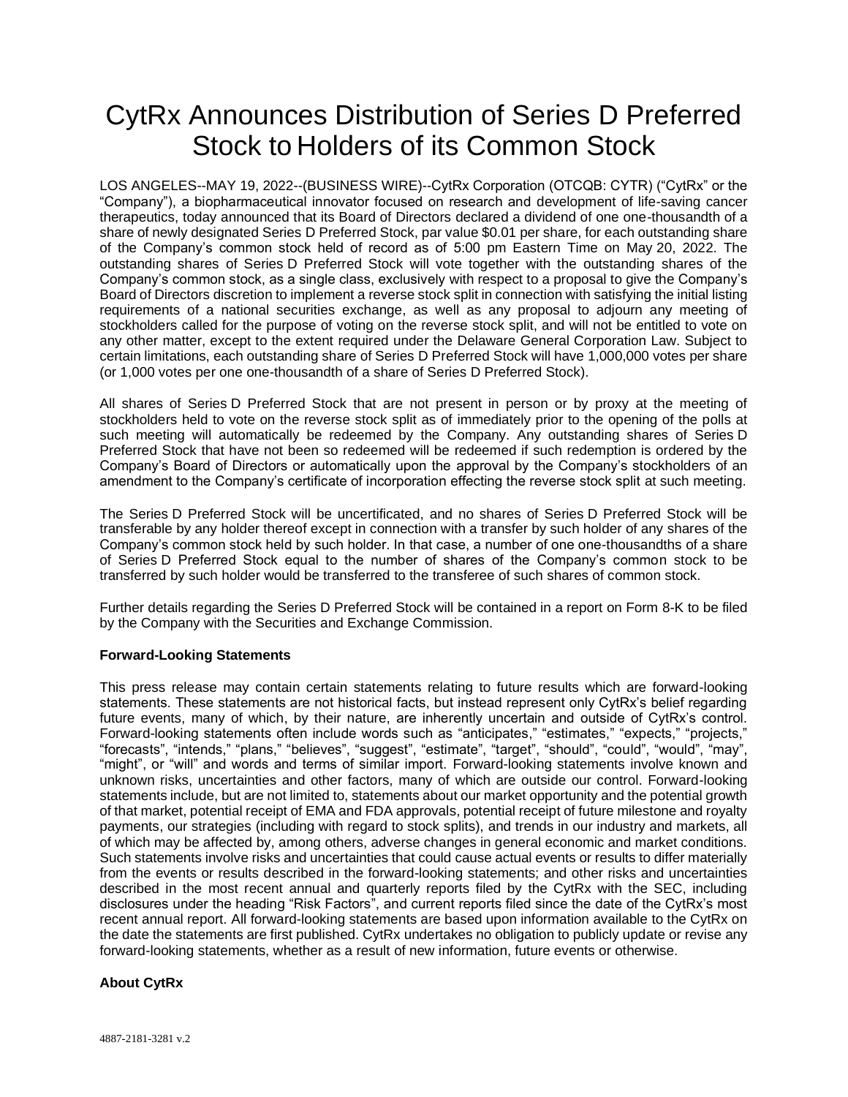## CytRx Announces Distribution of Series D Preferred Stock to Holders of its Common Stock

LOS ANGELES--MAY 19, 2022--(BUSINESS WIRE)--CytRx Corporation (OTCQB: CYTR) ("CytRx" or the "Company"), a biopharmaceutical innovator focused on research and development of life-saving cancer therapeutics, today announced that its Board of Directors declared a dividend of one one-thousandth of a share of newly designated Series D Preferred Stock, par value \$0.01 per share, for each outstanding share of the Company's common stock held of record as of 5:00 pm Eastern Time on May 20, 2022. The outstanding shares of Series D Preferred Stock will vote together with the outstanding shares of the Company's common stock, as a single class, exclusively with respect to a proposal to give the Company's Board of Directors discretion to implement a reverse stock split in connection with satisfying the initial listing requirements of a national securities exchange, as well as any proposal to adjourn any meeting of stockholders called for the purpose of voting on the reverse stock split, and will not be entitled to vote on any other matter, except to the extent required under the Delaware General Corporation Law. Subject to certain limitations, each outstanding share of Series D Preferred Stock will have 1,000,000 votes per share (or 1,000 votes per one one-thousandth of a share of Series D Preferred Stock).

All shares of Series D Preferred Stock that are not present in person or by proxy at the meeting of stockholders held to vote on the reverse stock split as of immediately prior to the opening of the polls at such meeting will automatically be redeemed by the Company. Any outstanding shares of Series D Preferred Stock that have not been so redeemed will be redeemed if such redemption is ordered by the Company's Board of Directors or automatically upon the approval by the Company's stockholders of an amendment to the Company's certificate of incorporation effecting the reverse stock split at such meeting.

The Series D Preferred Stock will be uncertificated, and no shares of Series D Preferred Stock will be transferable by any holder thereof except in connection with a transfer by such holder of any shares of the Company's common stock held by such holder. In that case, a number of one one-thousandths of a share of Series D Preferred Stock equal to the number of shares of the Company's common stock to be transferred by such holder would be transferred to the transferee of such shares of common stock.

Further details regarding the Series D Preferred Stock will be contained in a report on Form 8-K to be filed by the Company with the Securities and Exchange Commission.

## **Forward-Looking Statements**

This press release may contain certain statements relating to future results which are forward-looking statements. These statements are not historical facts, but instead represent only CytRx's belief regarding future events, many of which, by their nature, are inherently uncertain and outside of CytRx's control. Forward-looking statements often include words such as "anticipates," "estimates," "expects," "projects," "forecasts", "intends," "plans," "believes", "suggest", "estimate", "target", "should", "could", "would", "may", "might", or "will" and words and terms of similar import. Forward-looking statements involve known and unknown risks, uncertainties and other factors, many of which are outside our control. Forward-looking statements include, but are not limited to, statements about our market opportunity and the potential growth of that market, potential receipt of EMA and FDA approvals, potential receipt of future milestone and royalty payments, our strategies (including with regard to stock splits), and trends in our industry and markets, all of which may be affected by, among others, adverse changes in general economic and market conditions. Such statements involve risks and uncertainties that could cause actual events or results to differ materially from the events or results described in the forward-looking statements; and other risks and uncertainties described in the most recent annual and quarterly reports filed by the CytRx with the SEC, including disclosures under the heading "Risk Factors", and current reports filed since the date of the CytRx's most recent annual report. All forward-looking statements are based upon information available to the CytRx on the date the statements are first published. CytRx undertakes no obligation to publicly update or revise any forward-looking statements, whether as a result of new information, future events or otherwise.

## **About CytRx**